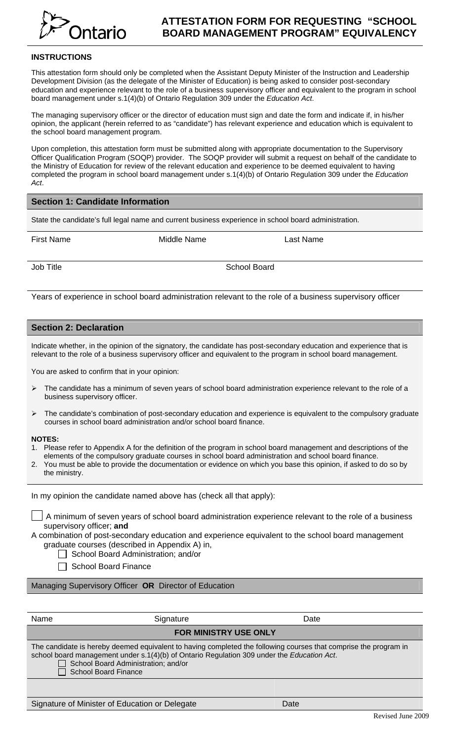

# **ATTESTATION FORM FOR REQUESTING "SCHOOL BOARD MANAGEMENT PROGRAM" EQUIVALENCY**

### **INSTRUCTIONS**

This attestation form should only be completed when the Assistant Deputy Minister of the Instruction and Leadership Development Division (as the delegate of the Minister of Education) is being asked to consider post-secondary education and experience relevant to the role of a business supervisory officer and equivalent to the program in school board management under s.1(4)(b) of Ontario Regulation 309 under the *Education Act*.

The managing supervisory officer or the director of education must sign and date the form and indicate if, in his/her opinion, the applicant (herein referred to as "candidate") has relevant experience and education which is equivalent to the school board management program.

Upon completion, this attestation form must be submitted along with appropriate documentation to the Supervisory Officer Qualification Program (SOQP) provider. The SOQP provider will submit a request on behalf of the candidate to the Ministry of Education for review of the relevant education and experience to be deemed equivalent to having completed the program in school board management under s.1(4)(b) of Ontario Regulation 309 under the *Education Act*.

## **Section 1: Candidate Information**

State the candidate's full legal name and current business experience in school board administration.

First Name Middle Name Last Name

Job Title School Board

Years of experience in school board administration relevant to the role of a business supervisory officer

## **Section 2: Declaration**

Indicate whether, in the opinion of the signatory, the candidate has post-secondary education and experience that is relevant to the role of a business supervisory officer and equivalent to the program in school board management.

You are asked to confirm that in your opinion:

- $\triangleright$  The candidate has a minimum of seven years of school board administration experience relevant to the role of a business supervisory officer.
- ¾ The candidate's combination of post-secondary education and experience is equivalent to the compulsory graduate courses in school board administration and/or school board finance.

#### **NOTES:**

- 1. Please refer to Appendix A for the definition of the program in school board management and descriptions of the elements of the compulsory graduate courses in school board administration and school board finance.
- 2. You must be able to provide the documentation or evidence on which you base this opinion, if asked to do so by the ministry.

In my opinion the candidate named above has (check all that apply):

A minimum of seven years of school board administration experience relevant to the role of a business supervisory officer; **and**

A combination of post-secondary education and experience equivalent to the school board management graduate courses (described in Appendix A) in,

School Board Administration; and/or

□ School Board Finance

Managing Supervisory Officer **OR** Director of Education

| Name                                                                                                                                                                                                                                                                          | Signature | Date           |  |
|-------------------------------------------------------------------------------------------------------------------------------------------------------------------------------------------------------------------------------------------------------------------------------|-----------|----------------|--|
| <b>FOR MINISTRY USE ONLY</b>                                                                                                                                                                                                                                                  |           |                |  |
| The candidate is hereby deemed equivalent to having completed the following courses that comprise the program in<br>school board management under s.1(4)(b) of Ontario Regulation 309 under the Education Act.<br>School Board Administration; and/or<br>School Board Finance |           |                |  |
|                                                                                                                                                                                                                                                                               |           |                |  |
| Signature of Minister of Education or Delegate                                                                                                                                                                                                                                |           | D <sub>0</sub> |  |

Signature of Minister of Education or Delegate Date